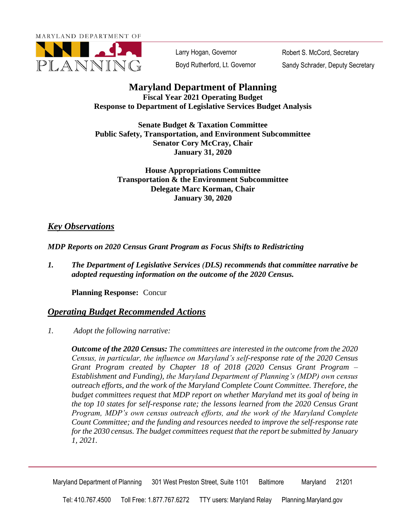MARYLAND DEPARTMENT OF



Larry Hogan, Governor Boyd Rutherford, Lt. Governor

Robert S. McCord, Secretary Sandy Schrader, Deputy Secretary

## **Maryland Department of Planning Fiscal Year 2021 Operating Budget Response to Department of Legislative Services Budget Analysis**

**Senate Budget & Taxation Committee Public Safety, Transportation, and Environment Subcommittee Senator Cory McCray, Chair January 31, 2020** 

> **House Appropriations Committee Transportation & the Environment Subcommittee Delegate Marc Korman, Chair January 30, 2020**

## *Key Observations*

*MDP Reports on 2020 Census Grant Program as Focus Shifts to Redistricting* 

*1. The Department of Legislative Services (DLS) recommends that committee narrative be adopted requesting information on the outcome of the 2020 Census.* 

**Planning Response:** Concur

## *Operating Budget Recommended Actions*

*1. Adopt the following narrative:* 

 *Outcome of the 2020 Census: The committees are interested in the outcome from the 2020 Program, MDP's own census outreach efforts, and the work of the Maryland Complete for the 2030 census. The budget committees request that the report be submitted by January Census, in particular, the influence on Maryland's self-response rate of the 2020 Census Grant Program created by Chapter 18 of 2018 (2020 Census Grant Program – Establishment and Funding), the Maryland Department of Planning's (MDP) own census outreach efforts, and the work of the Maryland Complete Count Committee. Therefore, the budget committees request that MDP report on whether Maryland met its goal of being in the top 10 states for self-response rate; the lessons learned from the 2020 Census Grant Count Committee; and the funding and resources needed to improve the self-response rate 1, 2021.* 

Maryland Department of Planning 301 West Preston Street, Suite 1101 Baltimore Maryland 21201